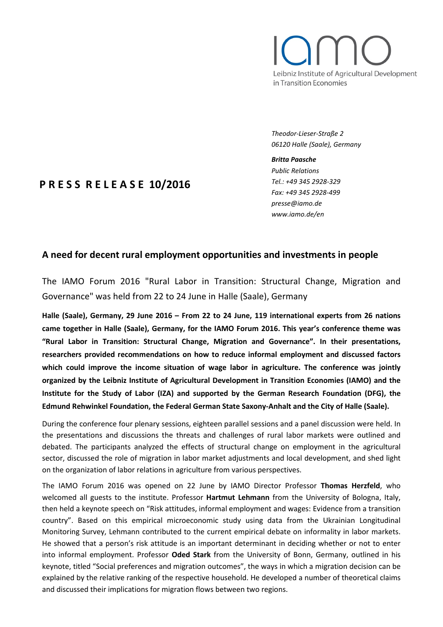# Leibniz Institute of Agricultural Development in Transition Economies

*Theodor-Lieser-Straße 2 06120 Halle (Saale), Germany*

#### *Britta Paasche*

*Public Relations Tel.: +49 345 2928-329 Fax: +49 345 2928-499 presse@iamo.de www.iamo.de/en*

# **P R E S S R E L E A S E 10/2016**

# **A need for decent rural employment opportunities and investments in people**

The IAMO Forum 2016 "Rural Labor in Transition: Structural Change, Migration and Governance" was held from 22 to 24 June in Halle (Saale), Germany

**Halle (Saale), Germany, 29 June 2016 – From 22 to 24 June, 119 international experts from 26 nations came together in Halle (Saale), Germany, for the IAMO Forum 2016. This year's conference theme was "Rural Labor in Transition: Structural Change, Migration and Governance". In their presentations, researchers provided recommendations on how to reduce informal employment and discussed factors which could improve the income situation of wage labor in agriculture. The conference was jointly organized by the Leibniz Institute of Agricultural Development in Transition Economies (IAMO) and the Institute for the Study of Labor (IZA) and supported by the German Research Foundation (DFG), the Edmund Rehwinkel Foundation, the Federal German State Saxony-Anhalt and the City of Halle (Saale).**

During the conference four plenary sessions, eighteen parallel sessions and a panel discussion were held. In the presentations and discussions the threats and challenges of rural labor markets were outlined and debated. The participants analyzed the effects of structural change on employment in the agricultural sector, discussed the role of migration in labor market adjustments and local development, and shed light on the organization of labor relations in agriculture from various perspectives.

The IAMO Forum 2016 was opened on 22 June by IAMO Director Professor **Thomas Herzfeld**, who welcomed all guests to the institute. Professor **Hartmut Lehmann** from the University of Bologna, Italy, then held a keynote speech on "Risk attitudes, informal employment and wages: Evidence from a transition country". Based on this empirical microeconomic study using data from the Ukrainian Longitudinal Monitoring Survey, Lehmann contributed to the current empirical debate on informality in labor markets. He showed that a person's risk attitude is an important determinant in deciding whether or not to enter into informal employment. Professor **Oded Stark** from the University of Bonn, Germany, outlined in his keynote, titled "Social preferences and migration outcomes", the ways in which a migration decision can be explained by the relative ranking of the respective household. He developed a number of theoretical claims and discussed their implications for migration flows between two regions.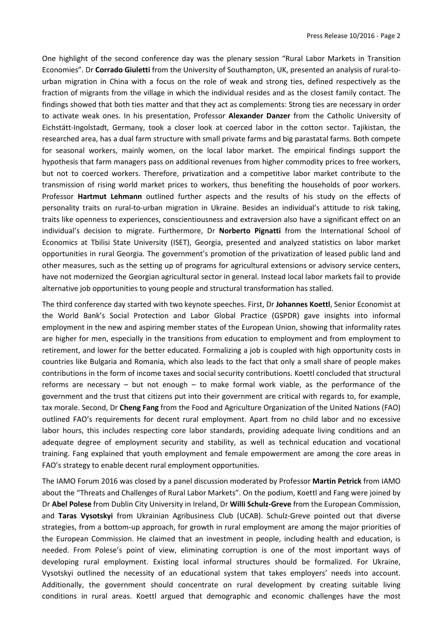One highlight of the second conference day was the plenary session "Rural Labor Markets in Transition Economies". Dr **Corrado Giuletti** from the University of Southampton, UK, presented an analysis of rural-tourban migration in China with a focus on the role of weak and strong ties, defined respectively as the fraction of migrants from the village in which the individual resides and as the closest family contact. The findings showed that both ties matter and that they act as complements: Strong ties are necessary in order to activate weak ones. In his presentation, Professor **Alexander Danzer** from the Catholic University of Eichstätt-Ingolstadt, Germany, took a closer look at coerced labor in the cotton sector. Tajikistan, the researched area, has a dual farm structure with small private farms and big parastatal farms. Both compete for seasonal workers, mainly women, on the local labor market. The empirical findings support the hypothesis that farm managers pass on additional revenues from higher commodity prices to free workers, but not to coerced workers. Therefore, privatization and a competitive labor market contribute to the transmission of rising world market prices to workers, thus benefiting the households of poor workers. Professor **Hartmut Lehmann** outlined further aspects and the results of his study on the effects of personality traits on rural-to-urban migration in Ukraine. Besides an individual's attitude to risk taking, traits like openness to experiences, conscientiousness and extraversion also have a significant effect on an individual's decision to migrate. Furthermore, Dr **Norberto Pignatti** from the International School of Economics at Tbilisi State University (ISET), Georgia, presented and analyzed statistics on labor market opportunities in rural Georgia. The government's promotion of the privatization of leased public land and other measures, such as the setting up of programs for agricultural extensions or advisory service centers, have not modernized the Georgian agricultural sector in general. Instead local labor markets fail to provide alternative job opportunities to young people and structural transformation has stalled.

The third conference day started with two keynote speeches. First, Dr **Johannes Koettl**, Senior Economist at the World Bank's Social Protection and Labor Global Practice (GSPDR) gave insights into informal employment in the new and aspiring member states of the European Union, showing that informality rates are higher for men, especially in the transitions from education to employment and from employment to retirement, and lower for the better educated. Formalizing a job is coupled with high opportunity costs in countries like Bulgaria and Romania, which also leads to the fact that only a small share of people makes contributions in the form of income taxes and social security contributions. Koettl concluded that structural reforms are necessary – but not enough – to make formal work viable, as the performance of the government and the trust that citizens put into their government are critical with regards to, for example, tax morale. Second, Dr **Cheng Fang** from the Food and Agriculture Organization of the United Nations (FAO) outlined FAO's requirements for decent rural employment. Apart from no child labor and no excessive labor hours, this includes respecting core labor standards, providing adequate living conditions and an adequate degree of employment security and stability, as well as technical education and vocational training. Fang explained that youth employment and female empowerment are among the core areas in FAO's strategy to enable decent rural employment opportunities.

The IAMO Forum 2016 was closed by a panel discussion moderated by Professor **Martin Petrick** from IAMO about the "Threats and Challenges of Rural Labor Markets". On the podium, Koettl and Fang were joined by Dr **Abel Polese** from Dublin City University in Ireland, Dr **Willi Schulz-Greve** from the European Commission, and **Taras Vysotskyi** from Ukrainian Agribusiness Club (UCAB). Schulz-Greve pointed out that diverse strategies, from a bottom-up approach, for growth in rural employment are among the major priorities of the European Commission. He claimed that an investment in people, including health and education, is needed. From Polese's point of view, eliminating corruption is one of the most important ways of developing rural employment. Existing local informal structures should be formalized. For Ukraine, Vysotskyi outlined the necessity of an educational system that takes employers' needs into account. Additionally, the government should concentrate on rural development by creating suitable living conditions in rural areas. Koettl argued that demographic and economic challenges have the most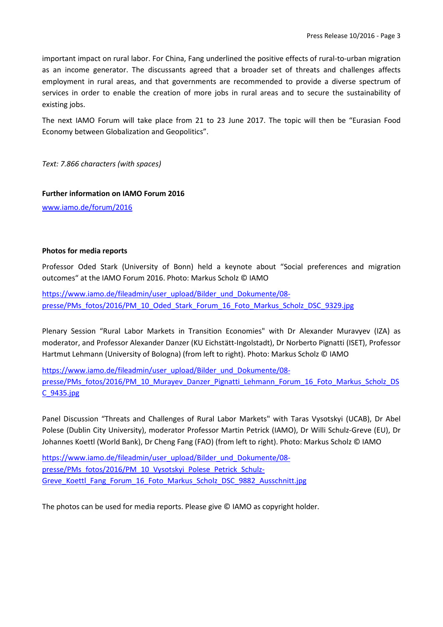important impact on rural labor. For China, Fang underlined the positive effects of rural-to-urban migration as an income generator. The discussants agreed that a broader set of threats and challenges affects employment in rural areas, and that governments are recommended to provide a diverse spectrum of services in order to enable the creation of more jobs in rural areas and to secure the sustainability of existing jobs.

The next IAMO Forum will take place from 21 to 23 June 2017. The topic will then be "Eurasian Food Economy between Globalization and Geopolitics".

*Text: 7.866 characters (with spaces)*

## **Further information on IAMO Forum 2016**

[www.iamo.de/forum/2016](http://www.iamo.de/forum/2016)

### **Photos for media reports**

Professor Oded Stark (University of Bonn) held a keynote about "Social preferences and migration outcomes" at the IAMO Forum 2016. Photo: Markus Scholz © IAMO

[https://www.iamo.de/fileadmin/user\\_upload/Bilder\\_und\\_Dokumente/08](https://www.iamo.de/fileadmin/user_upload/Bilder_und_Dokumente/08-presse/PMs_fotos/2016/PM_10_Oded_Stark_Forum_16_Foto_Markus_Scholz_DSC_9329.jpg) [presse/PMs\\_fotos/2016/PM\\_10\\_Oded\\_Stark\\_Forum\\_16\\_Foto\\_Markus\\_Scholz\\_DSC\\_9329.jpg](https://www.iamo.de/fileadmin/user_upload/Bilder_und_Dokumente/08-presse/PMs_fotos/2016/PM_10_Oded_Stark_Forum_16_Foto_Markus_Scholz_DSC_9329.jpg)

Plenary Session "Rural Labor Markets in Transition Economies" with Dr Alexander Muravyev (IZA) as moderator, and Professor Alexander Danzer (KU Eichstätt-Ingolstadt), Dr Norberto Pignatti (ISET), Professor Hartmut Lehmann (University of Bologna) (from left to right). Photo: Markus Scholz © IAMO

[https://www.iamo.de/fileadmin/user\\_upload/Bilder\\_und\\_Dokumente/08](https://www.iamo.de/fileadmin/user_upload/Bilder_und_Dokumente/08-presse/PMs_fotos/2016/PM_10_Murayev_Danzer_Pignatti_Lehmann_Forum_16_Foto_Markus_Scholz_DSC_9435.jpg) [presse/PMs\\_fotos/2016/PM\\_10\\_Murayev\\_Danzer\\_Pignatti\\_Lehmann\\_Forum\\_16\\_Foto\\_Markus\\_Scholz\\_DS](https://www.iamo.de/fileadmin/user_upload/Bilder_und_Dokumente/08-presse/PMs_fotos/2016/PM_10_Murayev_Danzer_Pignatti_Lehmann_Forum_16_Foto_Markus_Scholz_DSC_9435.jpg) [C\\_9435.jpg](https://www.iamo.de/fileadmin/user_upload/Bilder_und_Dokumente/08-presse/PMs_fotos/2016/PM_10_Murayev_Danzer_Pignatti_Lehmann_Forum_16_Foto_Markus_Scholz_DSC_9435.jpg)

Panel Discussion "Threats and Challenges of Rural Labor Markets" with Taras Vysotskyi (UCAB), Dr Abel Polese (Dublin City University), moderator Professor Martin Petrick (IAMO), Dr Willi Schulz-Greve (EU), Dr Johannes Koettl (World Bank), Dr Cheng Fang (FAO) (from left to right). Photo: Markus Scholz © IAMO

[https://www.iamo.de/fileadmin/user\\_upload/Bilder\\_und\\_Dokumente/08](https://www.iamo.de/fileadmin/user_upload/Bilder_und_Dokumente/08-presse/PMs_fotos/2016/PM_10_Vysotskyi_Polese_Petrick_Schulz-Greve_Koettl_Fang_Forum_16_Foto_Markus_Scholz_DSC_9882_Ausschnitt.jpg) [presse/PMs\\_fotos/2016/PM\\_10\\_Vysotskyi\\_Polese\\_Petrick\\_Schulz-](https://www.iamo.de/fileadmin/user_upload/Bilder_und_Dokumente/08-presse/PMs_fotos/2016/PM_10_Vysotskyi_Polese_Petrick_Schulz-Greve_Koettl_Fang_Forum_16_Foto_Markus_Scholz_DSC_9882_Ausschnitt.jpg)[Greve\\_Koettl\\_Fang\\_Forum\\_16\\_Foto\\_Markus\\_Scholz\\_DSC\\_9882\\_Ausschnitt.jpg](https://www.iamo.de/fileadmin/user_upload/Bilder_und_Dokumente/08-presse/PMs_fotos/2016/PM_10_Vysotskyi_Polese_Petrick_Schulz-Greve_Koettl_Fang_Forum_16_Foto_Markus_Scholz_DSC_9882_Ausschnitt.jpg)

The photos can be used for media reports. Please give © IAMO as copyright holder.